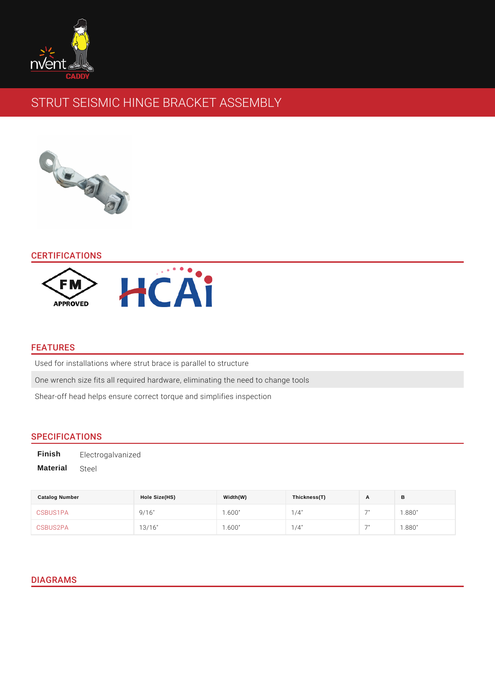# STRUT SEISMIC HINGE BRACKET ASSEMBLY

### CERTIFICATIONS

### FEATURES

Used for installations where strut brace is parallel to structure One wrench size fits all required hardware, eliminating the need to change tool Shear-off head helps ensure correct torque and simplifies inspection

### SPECIFICATIONS

Finish Electrogalvanized Material Steel

| <b>Catalog Number</b> | Hole Size(HS) | Width(W) | Thickness(T) | $\sqrt{ }$     | В     |
|-----------------------|---------------|----------|--------------|----------------|-------|
| CSBUS1PA              | 9/16"         | 1.600"   | $1/4$ "      | $\overline{ }$ | .880" |
| CSBUS2PA              | 13/16"        | 1.600"   | $1/4$ "      | $\overline{ }$ | .880" |

## DIAGRAMS